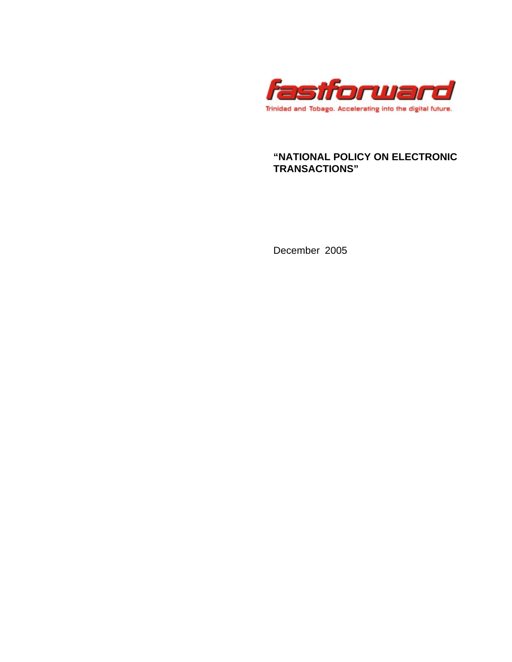

# **"NATIONAL POLICY ON ELECTRONIC TRANSACTIONS"**

December 2005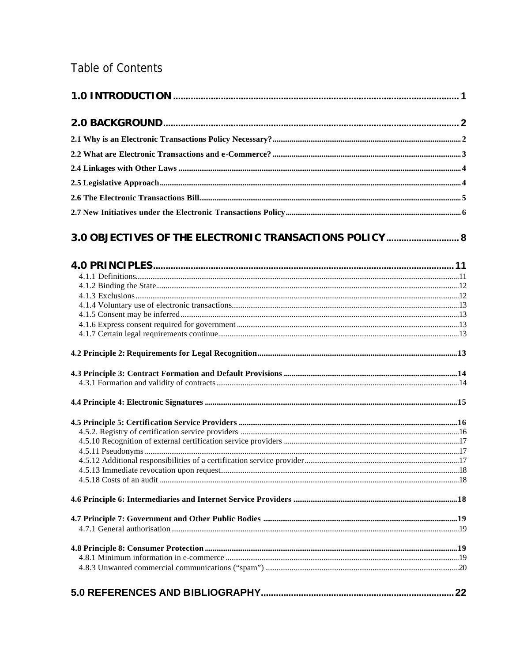# Table of Contents

| 3.0 OBJECTIVES OF THE ELECTRONIC TRANSACTIONS POLICY  8 |  |
|---------------------------------------------------------|--|
|                                                         |  |
|                                                         |  |
|                                                         |  |
|                                                         |  |
|                                                         |  |
|                                                         |  |
|                                                         |  |
|                                                         |  |
|                                                         |  |
|                                                         |  |
|                                                         |  |
|                                                         |  |
|                                                         |  |
|                                                         |  |
|                                                         |  |
|                                                         |  |
|                                                         |  |
|                                                         |  |
|                                                         |  |
|                                                         |  |
|                                                         |  |
|                                                         |  |
|                                                         |  |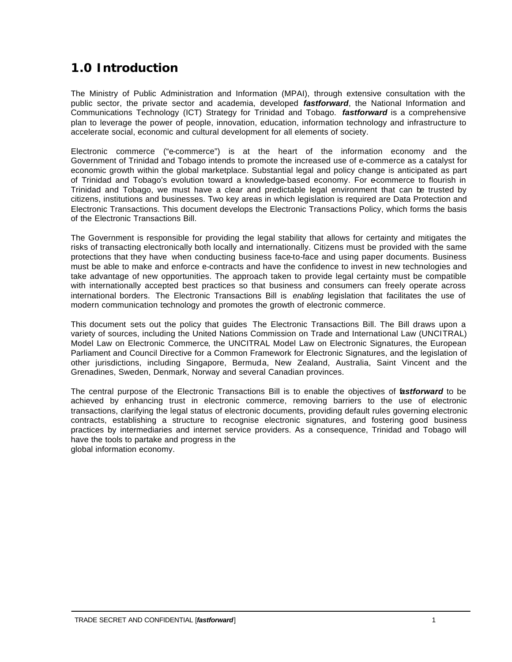# **1.0 Introduction**

The Ministry of Public Administration and Information (MPAI), through extensive consultation with the public sector, the private sector and academia, developed *fastforward*, the National Information and Communications Technology (ICT) Strategy for Trinidad and Tobago. *fastforward* is a comprehensive plan to leverage the power of people, innovation, education, information technology and infrastructure to accelerate social, economic and cultural development for all elements of society.

Electronic commerce ("e-commerce") is at the heart of the information economy and the Government of Trinidad and Tobago intends to promote the increased use of e-commerce as a catalyst for economic growth within the global marketplace. Substantial legal and policy change is anticipated as part of Trinidad and Tobago's evolution toward a knowledge-based economy. For ecommerce to flourish in Trinidad and Tobago, we must have a clear and predictable legal environment that can be trusted by citizens, institutions and businesses. Two key areas in which legislation is required are Data Protection and Electronic Transactions. This document develops the Electronic Transactions Policy, which forms the basis of the Electronic Transactions Bill.

The Government is responsible for providing the legal stability that allows for certainty and mitigates the risks of transacting electronically both locally and internationally. Citizens must be provided with the same protections that they have when conducting business face-to-face and using paper documents. Business must be able to make and enforce e-contracts and have the confidence to invest in new technologies and take advantage of new opportunities. The approach taken to provide legal certainty must be compatible with internationally accepted best practices so that business and consumers can freely operate across international borders. The Electronic Transactions Bill is *enabling* legislation that facilitates the use of modern communication technology and promotes the growth of electronic commerce.

This document sets out the policy that guides The Electronic Transactions Bill. The Bill draws upon a variety of sources, including the United Nations Commission on Trade and International Law (UNCITRAL) Model Law on Electronic Commerce, the UNCITRAL Model Law on Electronic Signatures, the European Parliament and Council Directive for a Common Framework for Electronic Signatures, and the legislation of other jurisdictions, including Singapore, Bermuda, New Zealand, Australia, Saint Vincent and the Grenadines, Sweden, Denmark, Norway and several Canadian provinces.

The central purpose of the Electronic Transactions Bill is to enable the objectives of f*astforward* to be achieved by enhancing trust in electronic commerce, removing barriers to the use of electronic transactions, clarifying the legal status of electronic documents, providing default rules governing electronic contracts, establishing a structure to recognise electronic signatures, and fostering good business practices by intermediaries and internet service providers. As a consequence, Trinidad and Tobago will have the tools to partake and progress in the global information economy.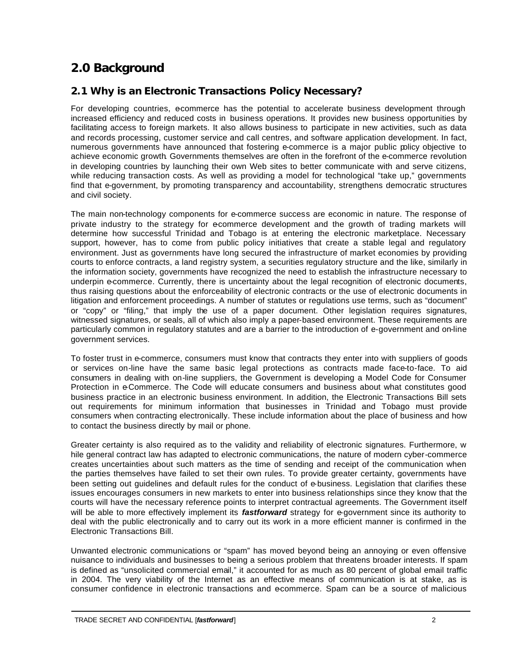# **2.0 Background**

# **2.1 Why is an Electronic Transactions Policy Necessary?**

For developing countries, ecommerce has the potential to accelerate business development through increased efficiency and reduced costs in business operations. It provides new business opportunities by facilitating access to foreign markets. It also allows business to participate in new activities, such as data and records processing, customer service and call centres, and software application development. In fact, numerous governments have announced that fostering e-commerce is a major public policy objective to achieve economic growth. Governments themselves are often in the forefront of the e-commerce revolution in developing countries by launching their own Web sites to better communicate with and serve citizens, while reducing transaction costs. As well as providing a model for technological "take up," governments find that e-government, by promoting transparency and accountability, strengthens democratic structures and civil society.

The main non-technology components for e-commerce success are economic in nature. The response of private industry to the strategy for ecommerce development and the growth of trading markets will determine how successful Trinidad and Tobago is at entering the electronic marketplace. Necessary support, however, has to come from public policy initiatives that create a stable legal and regulatory environment. Just as governments have long secured the infrastructure of market economies by providing courts to enforce contracts, a land registry system, a securities regulatory structure and the like, similarly in the information society, governments have recognized the need to establish the infrastructure necessary to underpin e-commerce. Currently, there is uncertainty about the legal recognition of electronic documents, thus raising questions about the enforceability of electronic contracts or the use of electronic documents in litigation and enforcement proceedings. A number of statutes or regulations use terms, such as "document" or "copy" or "filing," that imply the use of a paper document. Other legislation requires signatures, witnessed signatures, or seals, all of which also imply a paper-based environment. These requirements are particularly common in regulatory statutes and are a barrier to the introduction of e-government and on-line government services.

To foster trust in e-commerce, consumers must know that contracts they enter into with suppliers of goods or services on-line have the same basic legal protections as contracts made face-to-face. To aid consumers in dealing with on-line suppliers, the Government is developing a Model Code for Consumer Protection in e-Commerce. The Code will educate consumers and business about what constitutes good business practice in an electronic business environment. In addition, the Electronic Transactions Bill sets out requirements for minimum information that businesses in Trinidad and Tobago must provide consumers when contracting electronically. These include information about the place of business and how to contact the business directly by mail or phone.

Greater certainty is also required as to the validity and reliability of electronic signatures. Furthermore, w hile general contract law has adapted to electronic communications, the nature of modern cyber-commerce creates uncertainties about such matters as the time of sending and receipt of the communication when the parties themselves have failed to set their own rules. To provide greater certainty, governments have been setting out guidelines and default rules for the conduct of e-business. Legislation that clarifies these issues encourages consumers in new markets to enter into business relationships since they know that the courts will have the necessary reference points to interpret contractual agreements. The Government itself will be able to more effectively implement its *fastforward* strategy for e-government since its authority to deal with the public electronically and to carry out its work in a more efficient manner is confirmed in the Electronic Transactions Bill.

Unwanted electronic communications or "spam" has moved beyond being an annoying or even offensive nuisance to individuals and businesses to being a serious problem that threatens broader interests. If spam is defined as "unsolicited commercial email," it accounted for as much as 80 percent of global email traffic in 2004. The very viability of the Internet as an effective means of communication is at stake, as is consumer confidence in electronic transactions and ecommerce. Spam can be a source of malicious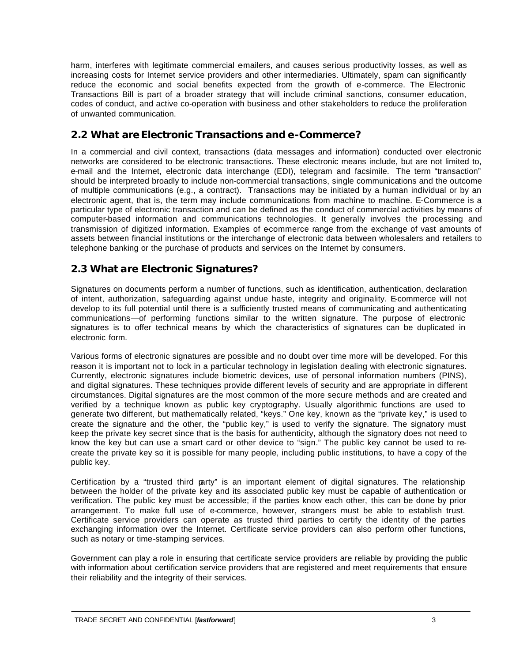harm, interferes with legitimate commercial e-mailers, and causes serious productivity losses, as well as increasing costs for Internet service providers and other intermediaries. Ultimately, spam can significantly reduce the economic and social benefits expected from the growth of e-commerce. The Electronic Transactions Bill is part of a broader strategy that will include criminal sanctions, consumer education, codes of conduct, and active co-operation with business and other stakeholders to reduce the proliferation of unwanted communication.

# **2.2 What are Electronic Transactions and e-Commerce?**

In a commercial and civil context, transactions (data messages and information) conducted over electronic networks are considered to be electronic transactions. These electronic means include, but are not limited to, e-mail and the Internet, electronic data interchange (EDI), telegram and facsimile. The term "transaction" should be interpreted broadly to include non-commercial transactions, single communications and the outcome of multiple communications (e.g., a contract). Transactions may be initiated by a human individual or by an electronic agent, that is, the term may include communications from machine to machine. E-Commerce is a particular type of electronic transaction and can be defined as the conduct of commercial activities by means of computer-based information and communications technologies. It generally involves the processing and transmission of digitized information. Examples of ecommerce range from the exchange of vast amounts of assets between financial institutions or the interchange of electronic data between wholesalers and retailers to telephone banking or the purchase of products and services on the Internet by consumers.

# **2.3 What are Electronic Signatures?**

Signatures on documents perform a number of functions, such as identification, authentication, declaration of intent, authorization, safeguarding against undue haste, integrity and originality. E-commerce will not develop to its full potential until there is a sufficiently trusted means of communicating and authenticating communications—of performing functions similar to the written signature. The purpose of electronic signatures is to offer technical means by which the characteristics of signatures can be duplicated in electronic form.

Various forms of electronic signatures are possible and no doubt over time more will be developed. For this reason it is important not to lock in a particular technology in legislation dealing with electronic signatures. Currently, electronic signatures include biometric devices, use of personal information numbers (PINS), and digital signatures. These techniques provide different levels of security and are appropriate in different circumstances. Digital signatures are the most common of the more secure methods and are created and verified by a technique known as public key cryptography. Usually algorithmic functions are used to generate two different, but mathematically related, "keys." One key, known as the "private key," is used to create the signature and the other, the "public key," is used to verify the signature. The signatory must keep the private key secret since that is the basis for authenticity, although the signatory does not need to know the key but can use a smart card or other device to "sign." The public key cannot be used to recreate the private key so it is possible for many people, including public institutions, to have a copy of the public key.

Certification by a "trusted third party" is an important element of digital signatures. The relationship between the holder of the private key and its associated public key must be capable of authentication or verification. The public key must be accessible; if the parties know each other, this can be done by prior arrangement. To make full use of e-commerce, however, strangers must be able to establish trust. Certificate service providers can operate as trusted third parties to certify the identity of the parties exchanging information over the Internet. Certificate service providers can also perform other functions, such as notary or time-stamping services.

Government can play a role in ensuring that certificate service providers are reliable by providing the public with information about certification service providers that are registered and meet requirements that ensure their reliability and the integrity of their services.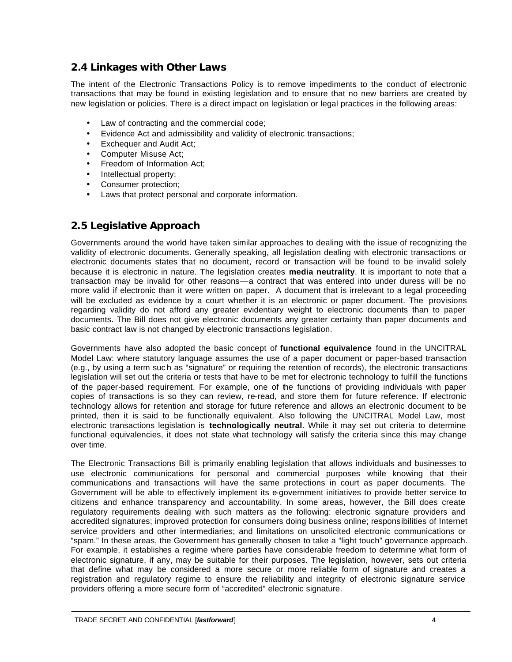# **2.4 Linkages with Other Laws**

The intent of the Electronic Transactions Policy is to remove impediments to the conduct of electronic transactions that may be found in existing legislation and to ensure that no new barriers are created by new legislation or policies. There is a direct impact on legislation or legal practices in the following areas:

- Law of contracting and the commercial code;
- Evidence Act and admissibility and validity of electronic transactions;
- **Exchequer and Audit Act:**
- Computer Misuse Act;
- Freedom of Information Act;
- Intellectual property;
- Consumer protection;
- Laws that protect personal and corporate information.

# **2.5 Legislative Approach**

Governments around the world have taken similar approaches to dealing with the issue of recognizing the validity of electronic documents. Generally speaking, all legislation dealing with electronic transactions or electronic documents states that no document, record or transaction will be found to be invalid solely because it is electronic in nature. The legislation creates **media neutrality**. It is important to note that a transaction may be invalid for other reasons—a contract that was entered into under duress will be no more valid if electronic than it were written on paper. A document that is irrelevant to a legal proceeding will be excluded as evidence by a court whether it is an electronic or paper document. The provisions regarding validity do not afford any greater evidentiary weight to electronic documents than to paper documents. The Bill does not give electronic documents any greater certainty than paper documents and basic contract law is not changed by electronic transactions legislation.

Governments have also adopted the basic concept of **functional equivalence** found in the UNCITRAL Model Law: where statutory language assumes the use of a paper document or paper-based transaction (e.g., by using a term suc h as "signature" or requiring the retention of records), the electronic transactions legislation will set out the criteria or tests that have to be met for electronic technology to fulfill the functions of the paper-based requirement. For example, one of the functions of providing individuals with paper copies of transactions is so they can review, re-read, and store them for future reference. If electronic technology allows for retention and storage for future reference and allows an electronic document to be printed, then it is said to be functionally equivalent. Also following the UNCITRAL Model Law, most electronic transactions legislation is **technologically neutral**. While it may set out criteria to determine functional equivalencies, it does not state what technology will satisfy the criteria since this may change over time.

The Electronic Transactions Bill is primarily enabling legislation that allows individuals and businesses to use electronic communications for personal and commercial purposes while knowing that their communications and transactions will have the same protections in court as paper documents. The Government will be able to effectively implement its e-government initiatives to provide better service to citizens and enhance transparency and accountability. In some areas, however, the Bill does create regulatory requirements dealing with such matters as the following: electronic signature providers and accredited signatures; improved protection for consumers doing business online; responsibilities of Internet service providers and other intermediaries; and limitations on unsolicited electronic communications or "spam." In these areas, the Government has generally chosen to take a "light touch" governance approach. For example, it establishes a regime where parties have considerable freedom to determine what form of electronic signature, if any, may be suitable for their purposes. The legislation, however, sets out criteria that define what may be considered a more secure or more reliable form of signature and creates a registration and regulatory regime to ensure the reliability and integrity of electronic signature service providers offering a more secure form of "accredited" electronic signature.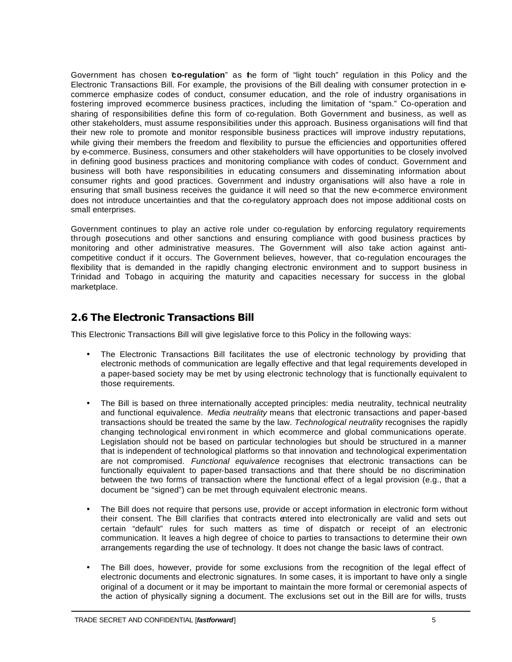Government has chosen "**co-regulation**" as the form of "light touch" regulation in this Policy and the Electronic Transactions Bill. For example, the provisions of the Bill dealing with consumer protection in ecommerce emphasize codes of conduct, consumer education, and the role of industry organisations in fostering improved ecommerce business practices, including the limitation of "spam." Co-operation and sharing of responsibilities define this form of co-regulation. Both Government and business, as well as other stakeholders, must assume responsibilities under this approach. Business organisations will find that their new role to promote and monitor responsible business practices will improve industry reputations, while giving their members the freedom and flexibility to pursue the efficiencies and opportunities offered by e-commerce. Business, consumers and other stakeholders will have opportunities to be closely involved in defining good business practices and monitoring compliance with codes of conduct. Government and business will both have responsibilities in educating consumers and disseminating information about consumer rights and good practices. Government and industry organisations will also have a role in ensuring that small business receives the guidance it will need so that the new e-commerce environment does not introduce uncertainties and that the co-regulatory approach does not impose additional costs on small enterprises.

Government continues to play an active role under co-regulation by enforcing regulatory requirements through prosecutions and other sanctions and ensuring compliance with good business practices by monitoring and other administrative measures. The Government will also take action against anticompetitive conduct if it occurs. The Government believes, however, that co-regulation encourages the flexibility that is demanded in the rapidly changing electronic environment and to support business in Trinidad and Tobago in acquiring the maturity and capacities necessary for success in the global marketplace.

# **2.6 The Electronic Transactions Bill**

This Electronic Transactions Bill will give legislative force to this Policy in the following ways:

- The Electronic Transactions Bill facilitates the use of electronic technology by providing that electronic methods of communication are legally effective and that legal requirements developed in a paper-based society may be met by using electronic technology that is functionally equivalent to those requirements.
- The Bill is based on three internationally accepted principles: media neutrality, technical neutrality and functional equivalence. *Media neutrality* means that electronic transactions and paper-based transactions should be treated the same by the law. *Technological neutrality* recognises the rapidly changing technological environment in which ecommerce and global communications operate. Legislation should not be based on particular technologies but should be structured in a manner that is independent of technological platforms so that innovation and technological experimentation are not compromised. *Functional equivalence* recognises that electronic transactions can be functionally equivalent to paper-based transactions and that there should be no discrimination between the two forms of transaction where the functional effect of a legal provision (e.g., that a document be "signed") can be met through equivalent electronic means.
- The Bill does not require that persons use, provide or accept information in electronic form without their consent. The Bill clarifies that contracts entered into electronically are valid and sets out certain "default" rules for such matters as time of dispatch or receipt of an electronic communication. It leaves a high degree of choice to parties to transactions to determine their own arrangements regarding the use of technology. It does not change the basic laws of contract.
- The Bill does, however, provide for some exclusions from the recognition of the legal effect of electronic documents and electronic signatures. In some cases, it is important to have only a single original of a document or it may be important to maintain the more formal or ceremonial aspects of the action of physically signing a document. The exclusions set out in the Bill are for wills, trusts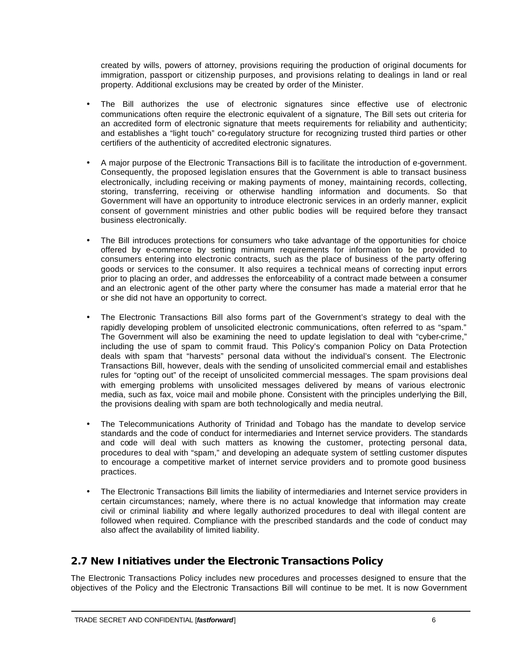created by wills, powers of attorney, provisions requiring the production of original documents for immigration, passport or citizenship purposes, and provisions relating to dealings in land or real property. Additional exclusions may be created by order of the Minister.

- The Bill authorizes the use of electronic signatures since effective use of electronic communications often require the electronic equivalent of a signature, The Bill sets out criteria for an accredited form of electronic signature that meets requirements for reliability and authenticity; and establishes a "light touch" co-regulatory structure for recognizing trusted third parties or other certifiers of the authenticity of accredited electronic signatures.
- A major purpose of the Electronic Transactions Bill is to facilitate the introduction of e-government. Consequently, the proposed legislation ensures that the Government is able to transact business electronically, including receiving or making payments of money, maintaining records, collecting, storing, transferring, receiving or otherwise handling information and documents. So that Government will have an opportunity to introduce electronic services in an orderly manner, explicit consent of government ministries and other public bodies will be required before they transact business electronically.
- The Bill introduces protections for consumers who take advantage of the opportunities for choice offered by e-commerce by setting minimum requirements for information to be provided to consumers entering into electronic contracts, such as the place of business of the party offering goods or services to the consumer. It also requires a technical means of correcting input errors prior to placing an order, and addresses the enforceability of a contract made between a consumer and an electronic agent of the other party where the consumer has made a material error that he or she did not have an opportunity to correct.
- The Electronic Transactions Bill also forms part of the Government's strategy to deal with the rapidly developing problem of unsolicited electronic communications, often referred to as "spam." The Government will also be examining the need to update legislation to deal with "cyber-crime," including the use of spam to commit fraud. This Policy's companion Policy on Data Protection deals with spam that "harvests" personal data without the individual's consent. The Electronic Transactions Bill, however, deals with the sending of unsolicited commercial email and establishes rules for "opting out" of the receipt of unsolicited commercial messages. The spam provisions deal with emerging problems with unsolicited messages delivered by means of various electronic media, such as fax, voice mail and mobile phone. Consistent with the principles underlying the Bill, the provisions dealing with spam are both technologically and media neutral.
- The Telecommunications Authority of Trinidad and Tobago has the mandate to develop service standards and the code of conduct for intermediaries and Internet service providers. The standards and code will deal with such matters as knowing the customer, protecting personal data, procedures to deal with "spam," and developing an adequate system of settling customer disputes to encourage a competitive market of internet service providers and to promote good business practices.
- The Electronic Transactions Bill limits the liability of intermediaries and Internet service providers in certain circumstances; namely, where there is no actual knowledge that information may create civil or criminal liability and where legally authorized procedures to deal with illegal content are followed when required. Compliance with the prescribed standards and the code of conduct may also affect the availability of limited liability.

# **2.7 New Initiatives under the Electronic Transactions Policy**

The Electronic Transactions Policy includes new procedures and processes designed to ensure that the objectives of the Policy and the Electronic Transactions Bill will continue to be met. It is now Government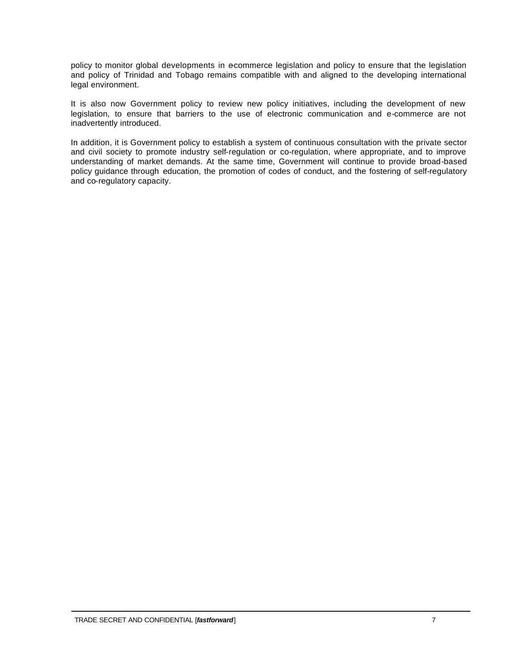policy to monitor global developments in e-commerce legislation and policy to ensure that the legislation and policy of Trinidad and Tobago remains compatible with and aligned to the developing international legal environment.

It is also now Government policy to review new policy initiatives, including the development of new legislation, to ensure that barriers to the use of electronic communication and e-commerce are not inadvertently introduced.

In addition, it is Government policy to establish a system of continuous consultation with the private sector and civil society to promote industry self-regulation or co-regulation, where appropriate, and to improve understanding of market demands. At the same time, Government will continue to provide broad-based policy guidance through education, the promotion of codes of conduct, and the fostering of self-regulatory and co-regulatory capacity.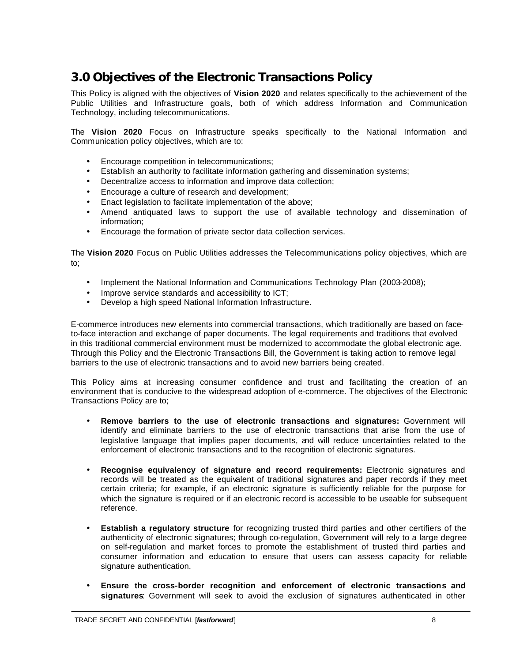# **3.0 Objectives of the Electronic Transactions Policy**

This Policy is aligned with the objectives of **Vision 2020** and relates specifically to the achievement of the Public Utilities and Infrastructure goals, both of which address Information and Communication Technology, including telecommunications.

The **Vision 2020** Focus on Infrastructure speaks specifically to the National Information and Communication policy objectives, which are to:

- Encourage competition in telecommunications;
- Establish an authority to facilitate information gathering and dissemination systems;
- Decentralize access to information and improve data collection;
- Encourage a culture of research and development;
- Enact legislation to facilitate implementation of the above;
- Amend antiquated laws to support the use of available technology and dissemination of information;
- Encourage the formation of private sector data collection services.

The **Vision 2020** Focus on Public Utilities addresses the Telecommunications policy objectives, which are to;

- Implement the National Information and Communications Technology Plan (2003-2008);
- Improve service standards and accessibility to ICT;
- Develop a high speed National Information Infrastructure.

E-commerce introduces new elements into commercial transactions, which traditionally are based on faceto-face interaction and exchange of paper documents. The legal requirements and traditions that evolved in this traditional commercial environment must be modernized to accommodate the global electronic age. Through this Policy and the Electronic Transactions Bill, the Government is taking action to remove legal barriers to the use of electronic transactions and to avoid new barriers being created.

This Policy aims at increasing consumer confidence and trust and facilitating the creation of an environment that is conducive to the widespread adoption of e-commerce. The objectives of the Electronic Transactions Policy are to;

- **Remove barriers to the use of electronic transactions and signatures:** Government will identify and eliminate barriers to the use of electronic transactions that arise from the use of legislative language that implies paper documents, and will reduce uncertainties related to the enforcement of electronic transactions and to the recognition of electronic signatures.
- **Recognise equivalency of signature and record requirements:** Electronic signatures and records will be treated as the equivalent of traditional signatures and paper records if they meet certain criteria; for example, if an electronic signature is sufficiently reliable for the purpose for which the signature is required or if an electronic record is accessible to be useable for subsequent reference.
- **Establish a regulatory structure** for recognizing trusted third parties and other certifiers of the authenticity of electronic signatures; through co-regulation, Government will rely to a large degree on self-regulation and market forces to promote the establishment of trusted third parties and consumer information and education to ensure that users can assess capacity for reliable signature authentication.
- **Ensure the cross-border recognition and enforcement of electronic transactions and signatures**: Government will seek to avoid the exclusion of signatures authenticated in other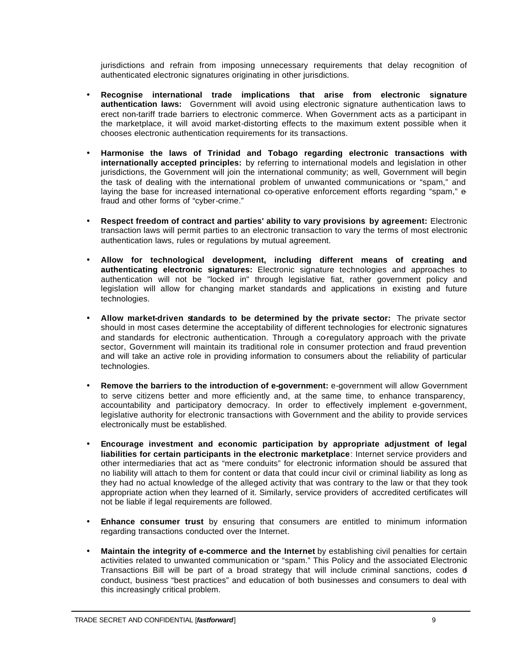jurisdictions and refrain from imposing unnecessary requirements that delay recognition of authenticated electronic signatures originating in other jurisdictions.

- **Recognise international trade implications that arise from electronic signature authentication laws:** Government will avoid using electronic signature authentication laws to erect non-tariff trade barriers to electronic commerce. When Government acts as a participant in the marketplace, it will avoid market-distorting effects to the maximum extent possible when it chooses electronic authentication requirements for its transactions.
- **Harmonise the laws of Trinidad and Tobago regarding electronic transactions with internationally accepted principles:** by referring to international models and legislation in other jurisdictions, the Government will join the international community; as well, Government will begin the task of dealing with the international problem of unwanted communications or "spam," and laying the base for increased international co-operative enforcement efforts regarding "spam," efraud and other forms of "cyber-crime."
- **Respect freedom of contract and parties' ability to vary provisions by agreement:** Electronic transaction laws will permit parties to an electronic transaction to vary the terms of most electronic authentication laws, rules or regulations by mutual agreement.
- **Allow for technological development, including different means of creating and authenticating electronic signatures:** Electronic signature technologies and approaches to authentication will not be "locked in" through legislative fiat, rather government policy and legislation will allow for changing market standards and applications in existing and future technologies.
- **Allow market-driven standards to be determined by the private sector:** The private sector should in most cases determine the acceptability of different technologies for electronic signatures and standards for electronic authentication. Through a co-regulatory approach with the private sector, Government will maintain its traditional role in consumer protection and fraud prevention and will take an active role in providing information to consumers about the reliability of particular technologies.
- **Remove the barriers to the introduction of e-government:** e-government will allow Government to serve citizens better and more efficiently and, at the same time, to enhance transparency, accountability and participatory democracy. In order to effectively implement e-government, legislative authority for electronic transactions with Government and the ability to provide services electronically must be established.
- **Encourage investment and economic participation by appropriate adjustment of legal liabilities for certain participants in the electronic marketplace**: Internet service providers and other intermediaries that act as "mere conduits" for electronic information should be assured that no liability will attach to them for content or data that could incur civil or criminal liability as long as they had no actual knowledge of the alleged activity that was contrary to the law or that they took appropriate action when they learned of it. Similarly, service providers of accredited certificates will not be liable if legal requirements are followed.
- **Enhance consumer trust** by ensuring that consumers are entitled to minimum information regarding transactions conducted over the Internet.
- **Maintain the integrity of e-commerce and the Internet** by establishing civil penalties for certain activities related to unwanted communication or "spam." This Policy and the associated Electronic Transactions Bill will be part of a broad strategy that will include criminal sanctions, codes of conduct, business "best practices" and education of both businesses and consumers to deal with this increasingly critical problem.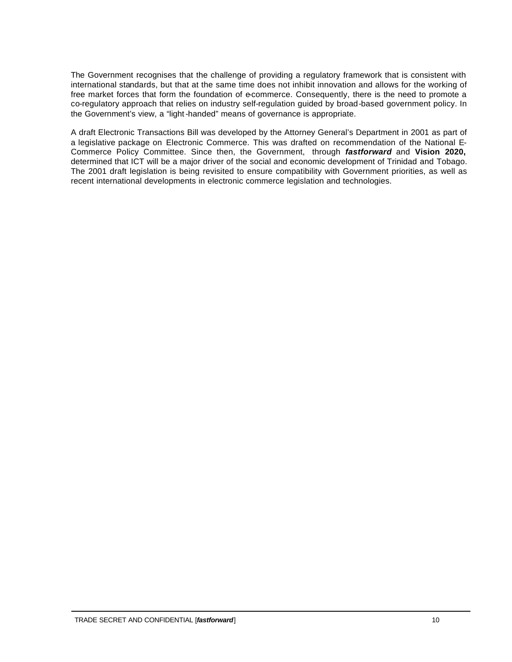The Government recognises that the challenge of providing a regulatory framework that is consistent with international standards, but that at the same time does not inhibit innovation and allows for the working of free market forces that form the foundation of e-commerce. Consequently, there is the need to promote a co-regulatory approach that relies on industry self-regulation guided by broad-based government policy. In the Government's view, a "light-handed" means of governance is appropriate.

A draft Electronic Transactions Bill was developed by the Attorney General's Department in 2001 as part of a legislative package on Electronic Commerce. This was drafted on recommendation of the National E-Commerce Policy Committee. Since then, the Government, through *fastforward* and **Vision 2020,** determined that ICT will be a major driver of the social and economic development of Trinidad and Tobago. The 2001 draft legislation is being revisited to ensure compatibility with Government priorities, as well as recent international developments in electronic commerce legislation and technologies.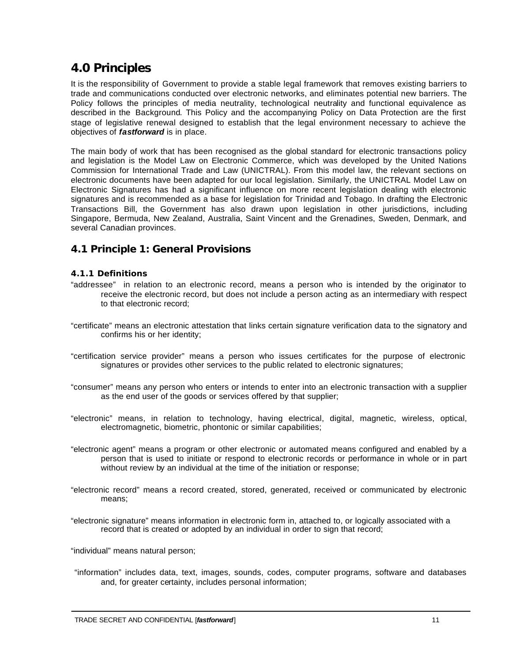# **4.0 Principles**

It is the responsibility of Government to provide a stable legal framework that removes existing barriers to trade and communications conducted over electronic networks, and eliminates potential new barriers. The Policy follows the principles of media neutrality, technological neutrality and functional equivalence as described in the Background. This Policy and the accompanying Policy on Data Protection are the first stage of legislative renewal designed to establish that the legal environment necessary to achieve the objectives of *fastforward* is in place.

The main body of work that has been recognised as the global standard for electronic transactions policy and legislation is the Model Law on Electronic Commerce, which was developed by the United Nations Commission for International Trade and Law (UNICTRAL). From this model law, the relevant sections on electronic documents have been adapted for our local legislation. Similarly, the UNICTRAL Model Law on Electronic Signatures has had a significant influence on more recent legislation dealing with electronic signatures and is recommended as a base for legislation for Trinidad and Tobago. In drafting the Electronic Transactions Bill, the Government has also drawn upon legislation in other jurisdictions, including Singapore, Bermuda, New Zealand, Australia, Saint Vincent and the Grenadines, Sweden, Denmark, and several Canadian provinces.

# **4.1 Principle 1: General Provisions**

#### **4.1.1 Definitions**

- "addressee" in relation to an electronic record, means a person who is intended by the originator to receive the electronic record, but does not include a person acting as an intermediary with respect to that electronic record;
- "certificate" means an electronic attestation that links certain signature verification data to the signatory and confirms his or her identity;
- "certification service provider" means a person who issues certificates for the purpose of electronic signatures or provides other services to the public related to electronic signatures;
- "consumer" means any person who enters or intends to enter into an electronic transaction with a supplier as the end user of the goods or services offered by that supplier;
- "electronic" means, in relation to technology, having electrical, digital, magnetic, wireless, optical, electromagnetic, biometric, phontonic or similar capabilities;
- "electronic agent" means a program or other electronic or automated means configured and enabled by a person that is used to initiate or respond to electronic records or performance in whole or in part without review by an individual at the time of the initiation or response;
- "electronic record" means a record created, stored, generated, received or communicated by electronic means;
- "electronic signature" means information in electronic form in, attached to, or logically associated with a record that is created or adopted by an individual in order to sign that record;

"individual" means natural person;

 "information" includes data, text, images, sounds, codes, computer programs, software and databases and, for greater certainty, includes personal information;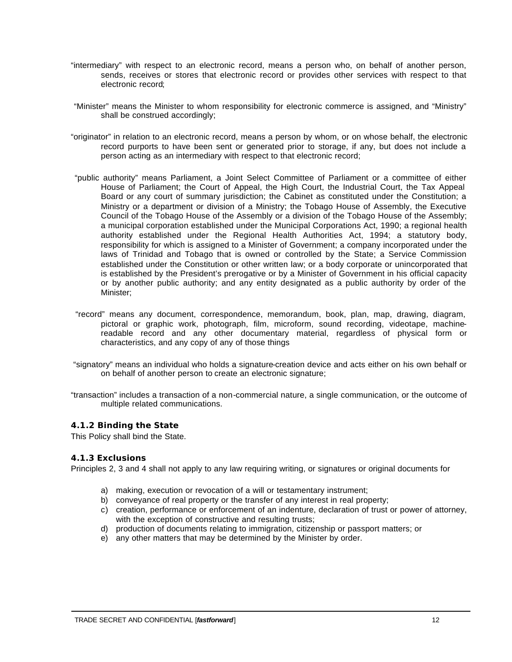- "intermediary" with respect to an electronic record, means a person who, on behalf of another person, sends, receives or stores that electronic record or provides other services with respect to that electronic record;
- "Minister" means the Minister to whom responsibility for electronic commerce is assigned, and "Ministry" shall be construed accordingly;
- "originator" in relation to an electronic record, means a person by whom, or on whose behalf, the electronic record purports to have been sent or generated prior to storage, if any, but does not include a person acting as an intermediary with respect to that electronic record;
- "public authority" means Parliament, a Joint Select Committee of Parliament or a committee of either House of Parliament; the Court of Appeal, the High Court, the Industrial Court, the Tax Appeal Board or any court of summary jurisdiction; the Cabinet as constituted under the Constitution; a Ministry or a department or division of a Ministry; the Tobago House of Assembly, the Executive Council of the Tobago House of the Assembly or a division of the Tobago House of the Assembly; a municipal corporation established under the Municipal Corporations Act, 1990; a regional health authority established under the Regional Health Authorities Act, 1994; a statutory body, responsibility for which is assigned to a Minister of Government; a company incorporated under the laws of Trinidad and Tobago that is owned or controlled by the State; a Service Commission established under the Constitution or other written law; or a body corporate or unincorporated that is established by the President's prerogative or by a Minister of Government in his official capacity or by another public authority; and any entity designated as a public authority by order of the Minister;
- "record" means any document, correspondence, memorandum, book, plan, map, drawing, diagram, pictoral or graphic work, photograph, film, microform, sound recording, videotape, machinereadable record and any other documentary material, regardless of physical form or characteristics, and any copy of any of those things
- "signatory" means an individual who holds a signature-creation device and acts either on his own behalf or on behalf of another person to create an electronic signature;
- "transaction" includes a transaction of a non-commercial nature, a single communication, or the outcome of multiple related communications.

# **4.1.2 Binding the State**

This Policy shall bind the State.

#### **4.1.3 Exclusions**

Principles 2, 3 and 4 shall not apply to any law requiring writing, or signatures or original documents for

- a) making, execution or revocation of a will or testamentary instrument;
- b) conveyance of real property or the transfer of any interest in real property;
- c) creation, performance or enforcement of an indenture, declaration of trust or power of attorney, with the exception of constructive and resulting trusts;
- d) production of documents relating to immigration, citizenship or passport matters; or
- e) any other matters that may be determined by the Minister by order.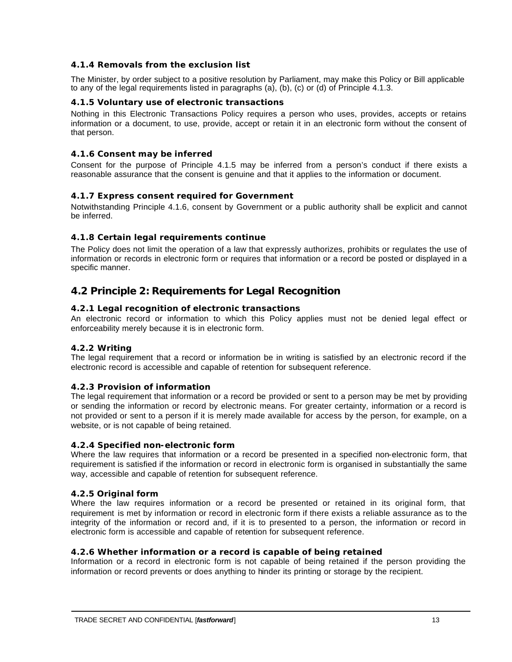### **4.1.4 Removals from the exclusion list**

The Minister, by order subject to a positive resolution by Parliament, may make this Policy or Bill applicable to any of the legal requirements listed in paragraphs (a), (b), (c) or (d) of Principle 4.1.3.

#### **4.1.5 Voluntary use of electronic transactions**

Nothing in this Electronic Transactions Policy requires a person who uses, provides, accepts or retains information or a document, to use, provide, accept or retain it in an electronic form without the consent of that person.

#### **4.1.6 Consent may be inferred**

Consent for the purpose of Principle 4.1.5 may be inferred from a person's conduct if there exists a reasonable assurance that the consent is genuine and that it applies to the information or document.

#### **4.1.7 Express consent required for Government**

Notwithstanding Principle 4.1.6, consent by Government or a public authority shall be explicit and cannot be inferred.

### **4.1.8 Certain legal requirements continue**

The Policy does not limit the operation of a law that expressly authorizes, prohibits or regulates the use of information or records in electronic form or requires that information or a record be posted or displayed in a specific manner.

# **4.2 Principle 2: Requirements for Legal Recognition**

#### **4.2.1 Legal recognition of electronic transactions**

An electronic record or information to which this Policy applies must not be denied legal effect or enforceability merely because it is in electronic form.

#### **4.2.2 Writing**

The legal requirement that a record or information be in writing is satisfied by an electronic record if the electronic record is accessible and capable of retention for subsequent reference.

#### **4.2.3 Provision of information**

The legal requirement that information or a record be provided or sent to a person may be met by providing or sending the information or record by electronic means. For greater certainty, information or a record is not provided or sent to a person if it is merely made available for access by the person, for example, on a website, or is not capable of being retained.

#### **4.2.4 Specified non-electronic form**

Where the law requires that information or a record be presented in a specified non-electronic form, that requirement is satisfied if the information or record in electronic form is organised in substantially the same way, accessible and capable of retention for subsequent reference.

#### **4.2.5 Original form**

Where the law requires information or a record be presented or retained in its original form, that requirement is met by information or record in electronic form if there exists a reliable assurance as to the integrity of the information or record and, if it is to presented to a person, the information or record in electronic form is accessible and capable of retention for subsequent reference.

#### **4.2.6 Whether information or a record is capable of being retained**

Information or a record in electronic form is not capable of being retained if the person providing the information or record prevents or does anything to hinder its printing or storage by the recipient.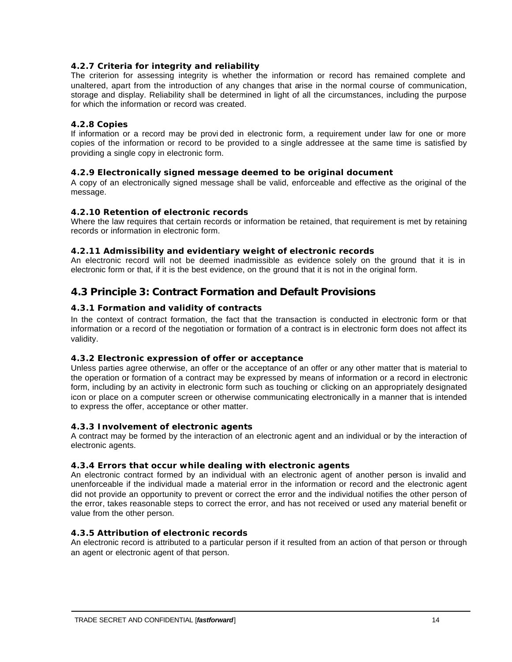# **4.2.7 Criteria for integrity and reliability**

The criterion for assessing integrity is whether the information or record has remained complete and unaltered, apart from the introduction of any changes that arise in the normal course of communication, storage and display. Reliability shall be determined in light of all the circumstances, including the purpose for which the information or record was created.

#### **4.2.8 Copies**

If information or a record may be provi ded in electronic form, a requirement under law for one or more copies of the information or record to be provided to a single addressee at the same time is satisfied by providing a single copy in electronic form.

#### **4.2.9 Electronically signed message deemed to be original document**

A copy of an electronically signed message shall be valid, enforceable and effective as the original of the message.

#### **4.2.10 Retention of electronic records**

Where the law requires that certain records or information be retained, that requirement is met by retaining records or information in electronic form.

#### **4.2.11 Admissibility and evidentiary weight of electronic records**

An electronic record will not be deemed inadmissible as evidence solely on the ground that it is in electronic form or that, if it is the best evidence, on the ground that it is not in the original form.

# **4.3 Principle 3: Contract Formation and Default Provisions**

#### **4.3.1 Formation and validity of contracts**

In the context of contract formation, the fact that the transaction is conducted in electronic form or that information or a record of the negotiation or formation of a contract is in electronic form does not affect its validity.

#### **4.3.2 Electronic expression of offer or acceptance**

Unless parties agree otherwise, an offer or the acceptance of an offer or any other matter that is material to the operation or formation of a contract may be expressed by means of information or a record in electronic form, including by an activity in electronic form such as touching or clicking on an appropriately designated icon or place on a computer screen or otherwise communicating electronically in a manner that is intended to express the offer, acceptance or other matter.

#### **4.3.3 Involvement of electronic agents**

A contract may be formed by the interaction of an electronic agent and an individual or by the interaction of electronic agents.

#### **4.3.4 Errors that occur while dealing with electronic agents**

An electronic contract formed by an individual with an electronic agent of another person is invalid and unenforceable if the individual made a material error in the information or record and the electronic agent did not provide an opportunity to prevent or correct the error and the individual notifies the other person of the error, takes reasonable steps to correct the error, and has not received or used any material benefit or value from the other person.

# **4.3.5 Attribution of electronic records**

An electronic record is attributed to a particular person if it resulted from an action of that person or through an agent or electronic agent of that person.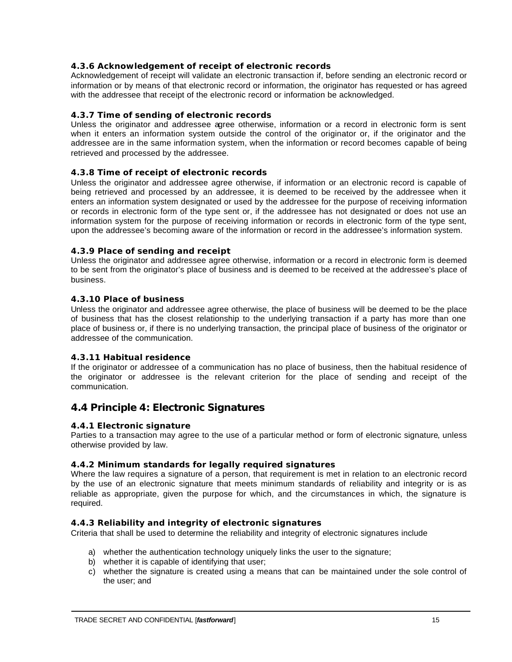# **4.3.6 Acknowledgement of receipt of electronic records**

Acknowledgement of receipt will validate an electronic transaction if, before sending an electronic record or information or by means of that electronic record or information, the originator has requested or has agreed with the addressee that receipt of the electronic record or information be acknowledged.

# **4.3.7 Time of sending of electronic records**

Unless the originator and addressee agree otherwise, information or a record in electronic form is sent when it enters an information system outside the control of the originator or, if the originator and the addressee are in the same information system, when the information or record becomes capable of being retrieved and processed by the addressee.

# **4.3.8 Time of receipt of electronic records**

Unless the originator and addressee agree otherwise, if information or an electronic record is capable of being retrieved and processed by an addressee, it is deemed to be received by the addressee when it enters an information system designated or used by the addressee for the purpose of receiving information or records in electronic form of the type sent or, if the addressee has not designated or does not use an information system for the purpose of receiving information or records in electronic form of the type sent, upon the addressee's becoming aware of the information or record in the addressee's information system.

# **4.3.9 Place of sending and receipt**

Unless the originator and addressee agree otherwise, information or a record in electronic form is deemed to be sent from the originator's place of business and is deemed to be received at the addressee's place of business.

# **4.3.10 Place of business**

Unless the originator and addressee agree otherwise, the place of business will be deemed to be the place of business that has the closest relationship to the underlying transaction if a party has more than one place of business or, if there is no underlying transaction, the principal place of business of the originator or addressee of the communication.

# **4.3.11 Habitual residence**

If the originator or addressee of a communication has no place of business, then the habitual residence of the originator or addressee is the relevant criterion for the place of sending and receipt of the communication.

# **4.4 Principle 4: Electronic Signatures**

# **4.4.1 Electronic signature**

Parties to a transaction may agree to the use of a particular method or form of electronic signature, unless otherwise provided by law.

# **4.4.2 Minimum standards for legally required signatures**

Where the law requires a signature of a person, that requirement is met in relation to an electronic record by the use of an electronic signature that meets minimum standards of reliability and integrity or is as reliable as appropriate, given the purpose for which, and the circumstances in which, the signature is required.

# **4.4.3 Reliability and integrity of electronic signatures**

Criteria that shall be used to determine the reliability and integrity of electronic signatures include

- a) whether the authentication technology uniquely links the user to the signature;
- b) whether it is capable of identifying that user;
- c) whether the signature is created using a means that can be maintained under the sole control of the user; and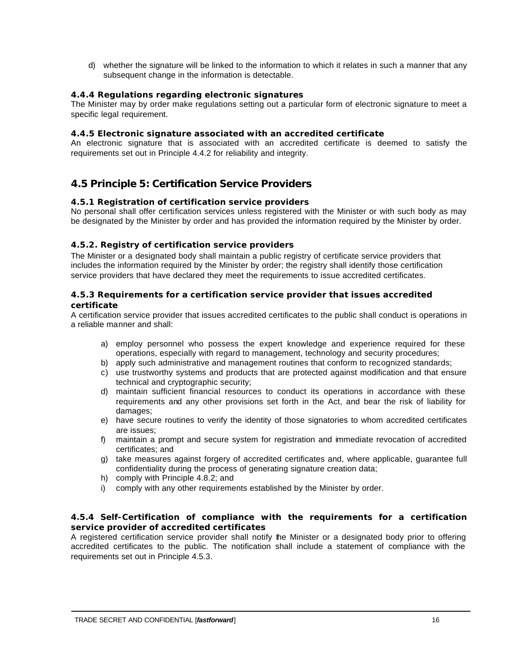d) whether the signature will be linked to the information to which it relates in such a manner that any subsequent change in the information is detectable.

### **4.4.4 Regulations regarding electronic signatures**

The Minister may by order make regulations setting out a particular form of electronic signature to meet a specific legal requirement.

#### **4.4.5 Electronic signature associated with an accredited certificate**

An electronic signature that is associated with an accredited certificate is deemed to satisfy the requirements set out in Principle 4.4.2 for reliability and integrity.

# **4.5 Principle 5: Certification Service Providers**

#### **4.5.1 Registration of certification service providers**

No personal shall offer certification services unless registered with the Minister or with such body as may be designated by the Minister by order and has provided the information required by the Minister by order.

#### **4.5.2. Registry of certification service providers**

The Minister or a designated body shall maintain a public registry of certificate service providers that includes the information required by the Minister by order; the registry shall identify those certification service providers that have declared they meet the requirements to issue accredited certificates.

#### **4.5.3 Requirements for a certification service provider that issues accredited certificate**

A certification service provider that issues accredited certificates to the public shall conduct is operations in a reliable manner and shall:

- a) employ personnel who possess the expert knowledge and experience required for these operations, especially with regard to management, technology and security procedures;
- b) apply such administrative and management routines that conform to recognized standards;
- c) use trustworthy systems and products that are protected against modification and that ensure technical and cryptographic security;
- d) maintain sufficient financial resources to conduct its operations in accordance with these requirements and any other provisions set forth in the Act, and bear the risk of liability for damages;
- e) have secure routines to verify the identity of those signatories to whom accredited certificates are issues;
- f) maintain a prompt and secure system for registration and immediate revocation of accredited certificates; and
- g) take measures against forgery of accredited certificates and, where applicable, guarantee full confidentiality during the process of generating signature creation data;
- h) comply with Principle 4.8.2; and
- i) comply with any other requirements established by the Minister by order.

#### **4.5.4 Self-Certification of compliance with the requirements for a certification service provider of accredited certificates**

A registered certification service provider shall notify the Minister or a designated body prior to offering accredited certificates to the public. The notification shall include a statement of compliance with the requirements set out in Principle 4.5.3.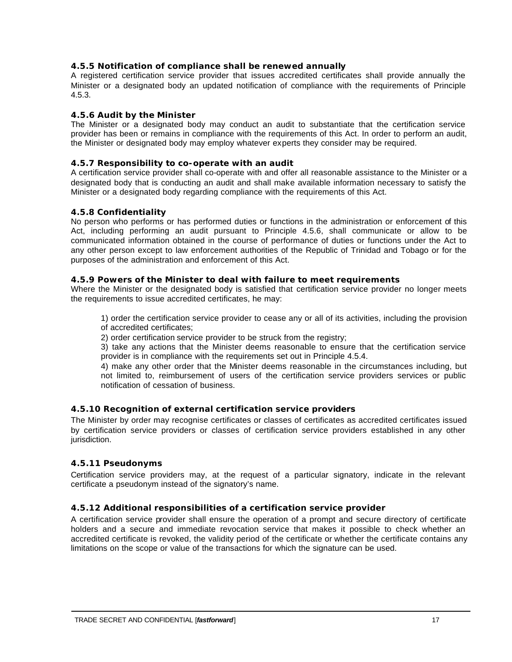### **4.5.5 Notification of compliance shall be renewed annually**

A registered certification service provider that issues accredited certificates shall provide annually the Minister or a designated body an updated notification of compliance with the requirements of Principle 4.5.3.

#### **4.5.6 Audit by the Minister**

The Minister or a designated body may conduct an audit to substantiate that the certification service provider has been or remains in compliance with the requirements of this Act. In order to perform an audit, the Minister or designated body may employ whatever experts they consider may be required.

#### **4.5.7 Responsibility to co-operate with an audit**

A certification service provider shall co-operate with and offer all reasonable assistance to the Minister or a designated body that is conducting an audit and shall make available information necessary to satisfy the Minister or a designated body regarding compliance with the requirements of this Act.

#### **4.5.8 Confidentiality**

No person who performs or has performed duties or functions in the administration or enforcement of this Act, including performing an audit pursuant to Principle 4.5.6, shall communicate or allow to be communicated information obtained in the course of performance of duties or functions under the Act to any other person except to law enforcement authorities of the Republic of Trinidad and Tobago or for the purposes of the administration and enforcement of this Act.

#### **4.5.9 Powers of the Minister to deal with failure to meet requirements**

Where the Minister or the designated body is satisfied that certification service provider no longer meets the requirements to issue accredited certificates, he may:

1) order the certification service provider to cease any or all of its activities, including the provision of accredited certificates;

2) order certification service provider to be struck from the registry;

3) take any actions that the Minister deems reasonable to ensure that the certification service provider is in compliance with the requirements set out in Principle 4.5.4.

4) make any other order that the Minister deems reasonable in the circumstances including, but not limited to, reimbursement of users of the certification service providers services or public notification of cessation of business.

# **4.5.10 Recognition of external certification service providers**

The Minister by order may recognise certificates or classes of certificates as accredited certificates issued by certification service providers or classes of certification service providers established in any other jurisdiction.

#### **4.5.11 Pseudonyms**

Certification service providers may, at the request of a particular signatory, indicate in the relevant certificate a pseudonym instead of the signatory's name.

# **4.5.12 Additional responsibilities of a certification service provider**

A certification service provider shall ensure the operation of a prompt and secure directory of certificate holders and a secure and immediate revocation service that makes it possible to check whether an accredited certificate is revoked, the validity period of the certificate or whether the certificate contains any limitations on the scope or value of the transactions for which the signature can be used.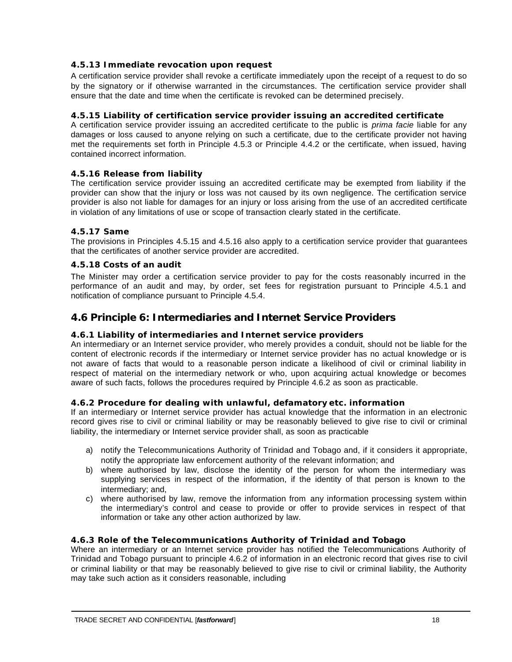# **4.5.13 Immediate revocation upon request**

A certification service provider shall revoke a certificate immediately upon the receipt of a request to do so by the signatory or if otherwise warranted in the circumstances. The certification service provider shall ensure that the date and time when the certificate is revoked can be determined precisely.

# **4.5.15 Liability of certification service provider issuing an accredited certificate**

A certification service provider issuing an accredited certificate to the public is *prima facie* liable for any damages or loss caused to anyone relying on such a certificate, due to the certificate provider not having met the requirements set forth in Principle 4.5.3 or Principle 4.4.2 or the certificate, when issued, having contained incorrect information.

# **4.5.16 Release from liability**

The certification service provider issuing an accredited certificate may be exempted from liability if the provider can show that the injury or loss was not caused by its own negligence. The certification service provider is also not liable for damages for an injury or loss arising from the use of an accredited certificate in violation of any limitations of use or scope of transaction clearly stated in the certificate.

#### **4.5.17 Same**

The provisions in Principles 4.5.15 and 4.5.16 also apply to a certification service provider that guarantees that the certificates of another service provider are accredited.

#### **4.5.18 Costs of an audit**

The Minister may order a certification service provider to pay for the costs reasonably incurred in the performance of an audit and may, by order, set fees for registration pursuant to Principle 4.5.1 and notification of compliance pursuant to Principle 4.5.4.

# **4.6 Principle 6: Intermediaries and Internet Service Providers**

### **4.6.1 Liability of intermediaries and Internet service providers**

An intermediary or an Internet service provider, who merely provides a conduit, should not be liable for the content of electronic records if the intermediary or Internet service provider has no actual knowledge or is not aware of facts that would to a reasonable person indicate a likelihood of civil or criminal liability in respect of material on the intermediary network or who, upon acquiring actual knowledge or becomes aware of such facts, follows the procedures required by Principle 4.6.2 as soon as practicable.

#### **4.6.2 Procedure for dealing with unlawful, defamatory etc. information**

If an intermediary or Internet service provider has actual knowledge that the information in an electronic record gives rise to civil or criminal liability or may be reasonably believed to give rise to civil or criminal liability, the intermediary or Internet service provider shall, as soon as practicable

- a) notify the Telecommunications Authority of Trinidad and Tobago and, if it considers it appropriate, notify the appropriate law enforcement authority of the relevant information; and
- b) where authorised by law, disclose the identity of the person for whom the intermediary was supplying services in respect of the information, if the identity of that person is known to the intermediary; and,
- c) where authorised by law, remove the information from any information processing system within the intermediary's control and cease to provide or offer to provide services in respect of that information or take any other action authorized by law.

# **4.6.3 Role of the Telecommunications Authority of Trinidad and Tobago**

Where an intermediary or an Internet service provider has notified the Telecommunications Authority of Trinidad and Tobago pursuant to principle 4.6.2 of information in an electronic record that gives rise to civil or criminal liability or that may be reasonably believed to give rise to civil or criminal liability, the Authority may take such action as it considers reasonable, including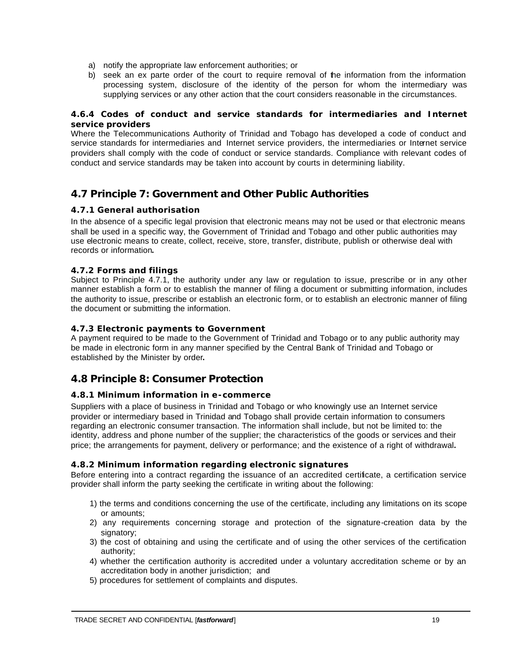- a) notify the appropriate law enforcement authorities; or
- b) seek an ex parte order of the court to require removal of the information from the information processing system, disclosure of the identity of the person for whom the intermediary was supplying services or any other action that the court considers reasonable in the circumstances.

### **4.6.4 Codes of conduct and service standards for intermediaries and Internet service providers**

Where the Telecommunications Authority of Trinidad and Tobago has developed a code of conduct and service standards for intermediaries and Internet service providers, the intermediaries or Internet service providers shall comply with the code of conduct or service standards. Compliance with relevant codes of conduct and service standards may be taken into account by courts in determining liability.

# **4.7 Principle 7: Government and Other Public Authorities**

# **4.7.1 General authorisation**

In the absence of a specific legal provision that electronic means may not be used or that electronic means shall be used in a specific way, the Government of Trinidad and Tobago and other public authorities may use electronic means to create, collect, receive, store, transfer, distribute, publish or otherwise deal with records or information**.**

# **4.7.2 Forms and filings**

Subject to Principle 4.7.1, the authority under any law or regulation to issue, prescribe or in any other manner establish a form or to establish the manner of filing a document or submitting information, includes the authority to issue, prescribe or establish an electronic form, or to establish an electronic manner of filing the document or submitting the information.

# **4.7.3 Electronic payments to Government**

A payment required to be made to the Government of Trinidad and Tobago or to any public authority may be made in electronic form in any manner specified by the Central Bank of Trinidad and Tobago or established by the Minister by order**.**

# **4.8 Principle 8: Consumer Protection**

# **4.8.1 Minimum information in e-commerce**

Suppliers with a place of business in Trinidad and Tobago or who knowingly use an Internet service provider or intermediary based in Trinidad and Tobago shall provide certain information to consumers regarding an electronic consumer transaction. The information shall include, but not be limited to: the identity, address and phone number of the supplier; the characteristics of the goods or services and their price; the arrangements for payment, delivery or performance; and the existence of a right of withdrawal**.** 

# **4.8.2 Minimum information regarding electronic signatures**

Before entering into a contract regarding the issuance of an accredited certificate, a certification service provider shall inform the party seeking the certificate in writing about the following:

- 1) the terms and conditions concerning the use of the certificate, including any limitations on its scope or amounts;
- 2) any requirements concerning storage and protection of the signature-creation data by the signatory;
- 3) the cost of obtaining and using the certificate and of using the other services of the certification authority;
- 4) whether the certification authority is accredited under a voluntary accreditation scheme or by an accreditation body in another jurisdiction; and
- 5) procedures for settlement of complaints and disputes.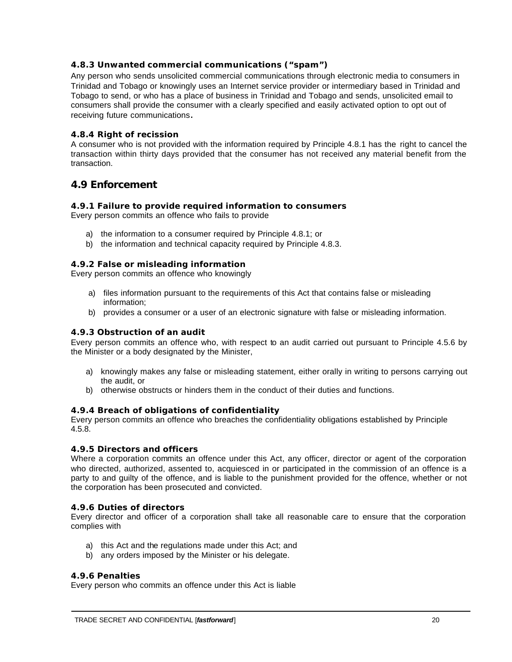# **4.8.3 Unwanted commercial communications ("spam")**

Any person who sends unsolicited commercial communications through electronic media to consumers in Trinidad and Tobago or knowingly uses an Internet service provider or intermediary based in Trinidad and Tobago to send, or who has a place of business in Trinidad and Tobago and sends, unsolicited email to consumers shall provide the consumer with a clearly specified and easily activated option to opt out of receiving future communications**.** 

# **4.8.4 Right of recission**

A consumer who is not provided with the information required by Principle 4.8.1 has the right to cancel the transaction within thirty days provided that the consumer has not received any material benefit from the transaction.

# **4.9 Enforcement**

#### **4.9.1 Failure to provide required information to consumers**

Every person commits an offence who fails to provide

- a) the information to a consumer required by Principle 4.8.1; or
- b) the information and technical capacity required by Principle 4.8.3.

#### **4.9.2 False or misleading information**

Every person commits an offence who knowingly

- a) files information pursuant to the requirements of this Act that contains false or misleading information;
- b) provides a consumer or a user of an electronic signature with false or misleading information.

#### **4.9.3 Obstruction of an audit**

Every person commits an offence who, with respect to an audit carried out pursuant to Principle 4.5.6 by the Minister or a body designated by the Minister,

- a) knowingly makes any false or misleading statement, either orally in writing to persons carrying out the audit, or
- b) otherwise obstructs or hinders them in the conduct of their duties and functions.

#### **4.9.4 Breach of obligations of confidentiality**

Every person commits an offence who breaches the confidentiality obligations established by Principle 4.5.8.

#### **4.9.5 Directors and officers**

Where a corporation commits an offence under this Act, any officer, director or agent of the corporation who directed, authorized, assented to, acquiesced in or participated in the commission of an offence is a party to and guilty of the offence, and is liable to the punishment provided for the offence, whether or not the corporation has been prosecuted and convicted.

#### **4.9.6 Duties of directors**

Every director and officer of a corporation shall take all reasonable care to ensure that the corporation complies with

- a) this Act and the regulations made under this Act; and
- b) any orders imposed by the Minister or his delegate.

#### **4.9.6 Penalties**

Every person who commits an offence under this Act is liable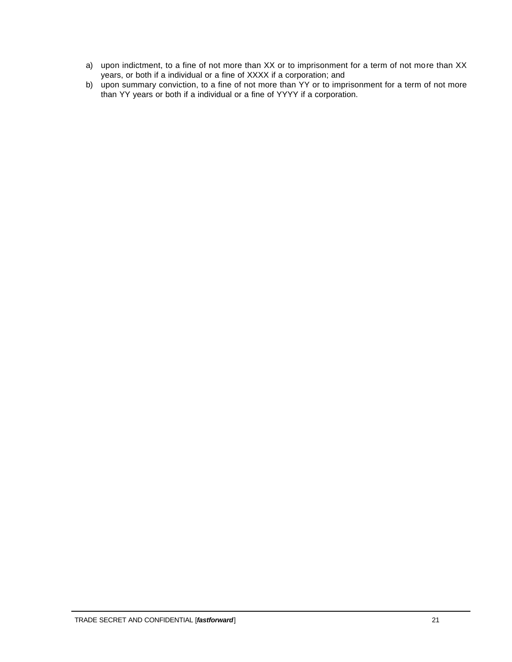- a) upon indictment, to a fine of not more than XX or to imprisonment for a term of not more than XX years, or both if a individual or a fine of XXXX if a corporation; and
- b) upon summary conviction, to a fine of not more than YY or to imprisonment for a term of not more than YY years or both if a individual or a fine of YYYY if a corporation.